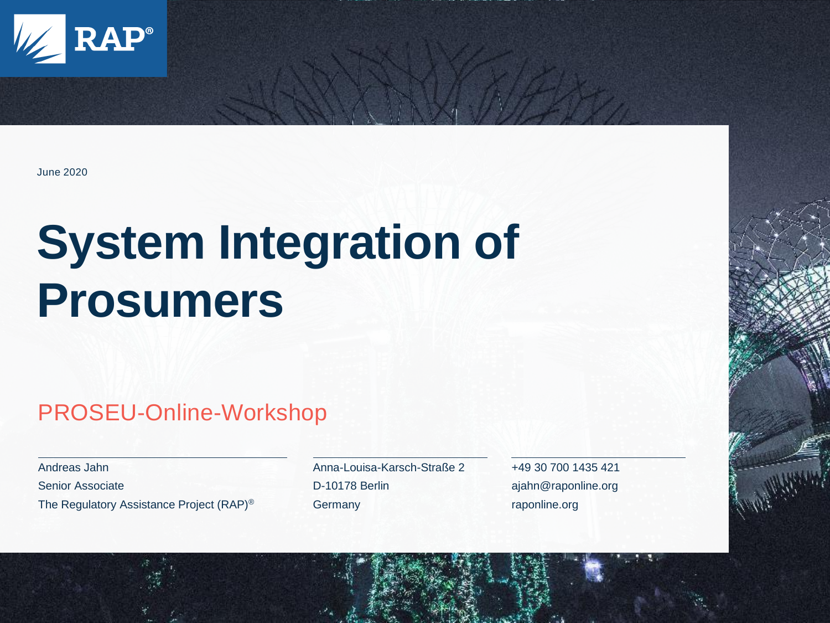

#### June 2020

## **System Integration of Prosumers**

#### PROSEU-Online-Workshop

Andreas Jahn Senior Associate The Regulatory Assistance Project (RAP)® Anna-Louisa-Karsch-Straße 2 D-10178 Berlin **Germany** 

+49 30 700 1435 421 ajahn@raponline.org raponline.org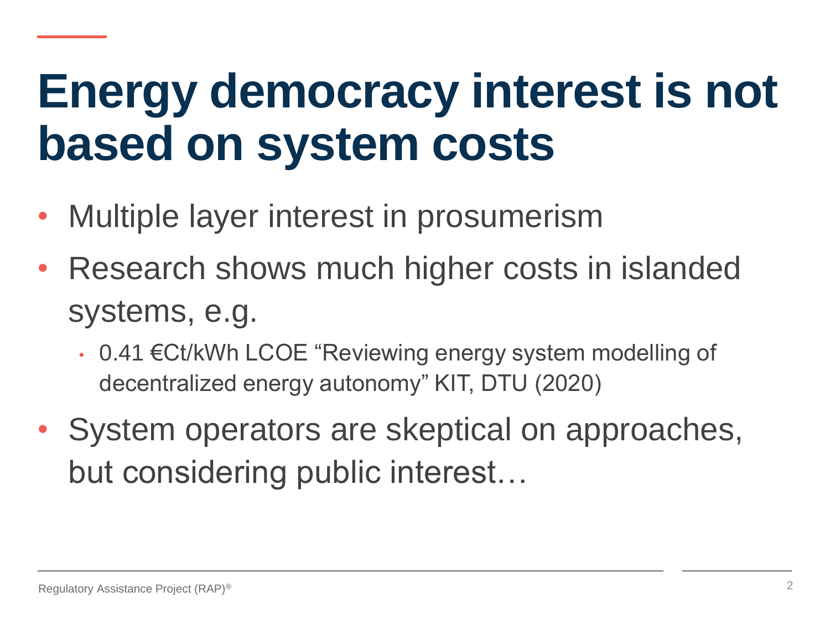## **Energy democracy interest is not based on system costs**

- Multiple layer interest in prosumerism
- Research shows much higher costs in islanded systems, e.g.
	- 0.41 €Ct/kWh LCOE "Reviewing energy system modelling of decentralized energy autonomy" KIT, DTU (2020)
- System operators are skeptical on approaches, but considering public interest…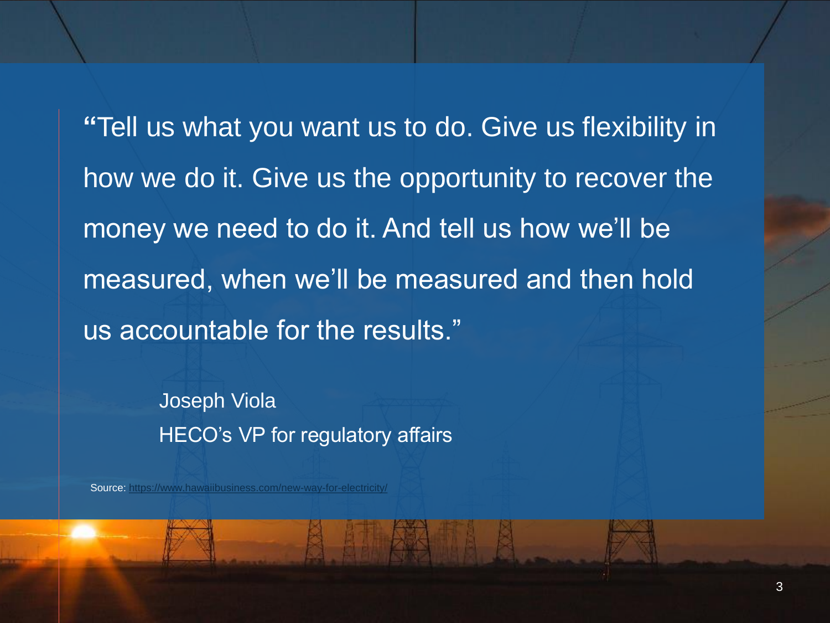**"**Tell us what you want us to do. Give us flexibility in how we do it. Give us the opportunity to recover the money we need to do it. And tell us how we'll be measured, when we'll be measured and then hold us accountable for the results."

> Joseph Viola HECO's VP for regulatory affairs

Source:<https://www.hawaiibusiness.com/new-way-for-electricity/>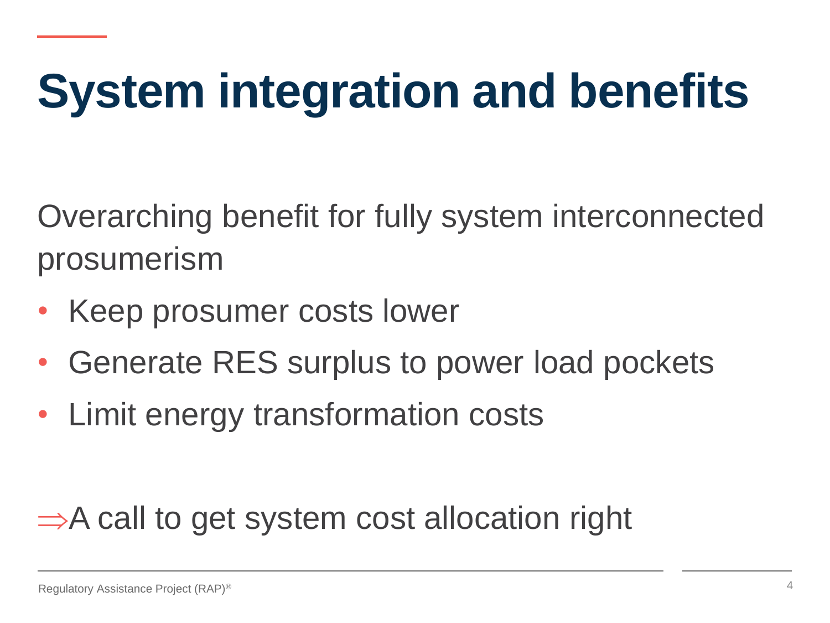# **System integration and benefits**

Overarching benefit for fully system interconnected prosumerism

- Keep prosumer costs lower
- Generate RES surplus to power load pockets
- Limit energy transformation costs

#### $\Rightarrow$  A call to get system cost allocation right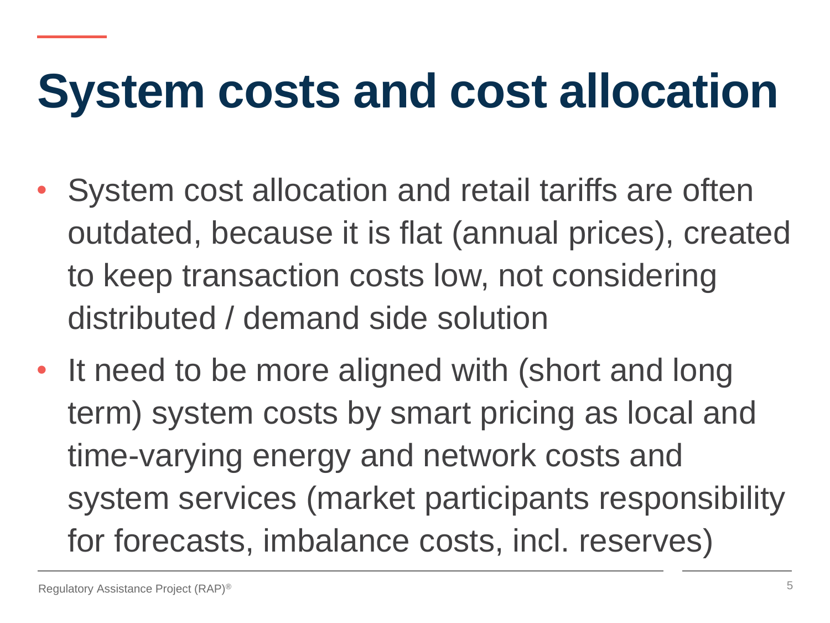## **System costs and cost allocation**

- System cost allocation and retail tariffs are often outdated, because it is flat (annual prices), created to keep transaction costs low, not considering distributed / demand side solution
- It need to be more aligned with (short and long term) system costs by smart pricing as local and time-varying energy and network costs and system services (market participants responsibility for forecasts, imbalance costs, incl. reserves)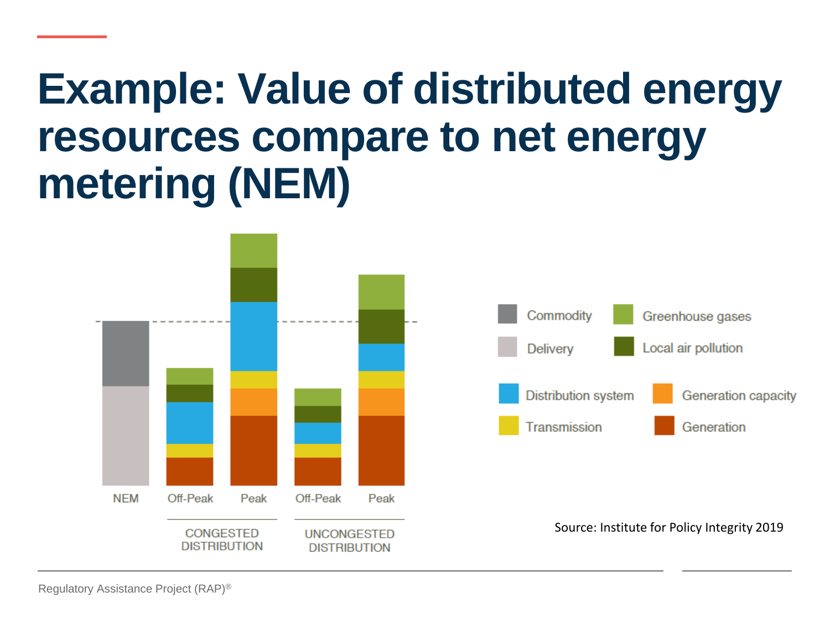## **Example: Value of distributed energy resources compare to net energy metering (NEM)**

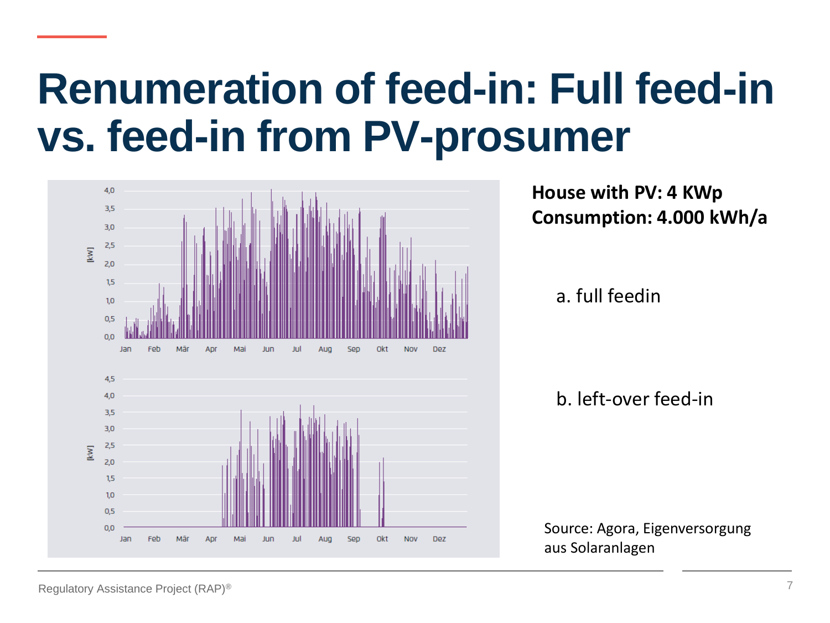## **Renumeration of feed-in: Full feed-in vs. feed-in from PV-prosumer**



**House with PV: 4 KWp Consumption: 4.000 kWh/a**

a. full feedin

b. left-over feed-in

Source: Agora, Eigenversorgung aus Solaranlagen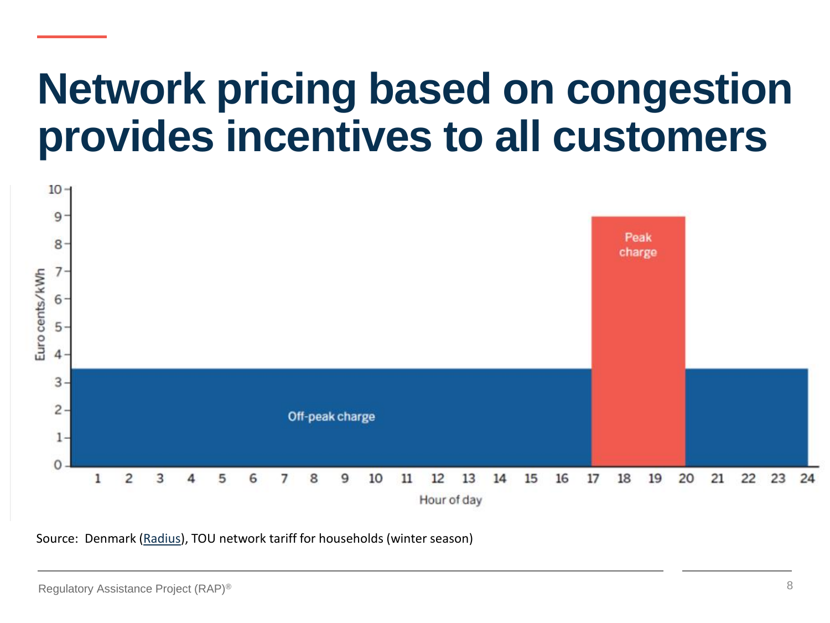### **Network pricing based on congestion provides incentives to all customers**



Source: Denmark [\(Radius\)](https://radiuselnet.dk/), TOU network tariff for households (winter season)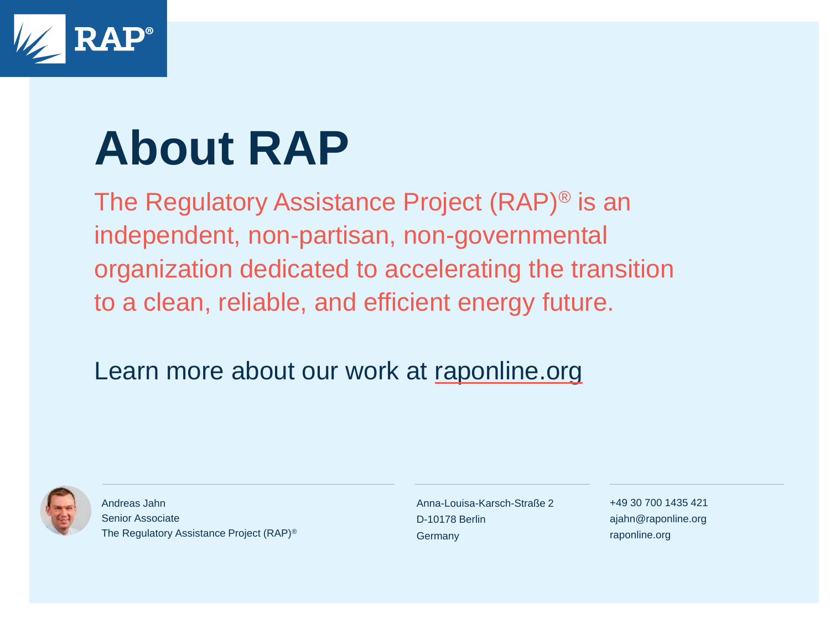

## **About RAP**

The Regulatory Assistance Project (RAP)® is an independent, non-partisan, non-governmental organization dedicated to accelerating the transition to a clean, reliable, and efficient energy future.

#### Learn more about our work at [raponline.org](http://www.raponline.org/)



Andreas Jahn Senior Associate The Regulatory Assistance Project (RAP)® Anna-Louisa-Karsch-Straße 2 D-10178 Berlin **Germany** 

+49 30 700 1435 421 ajahn@raponline.org raponline.org